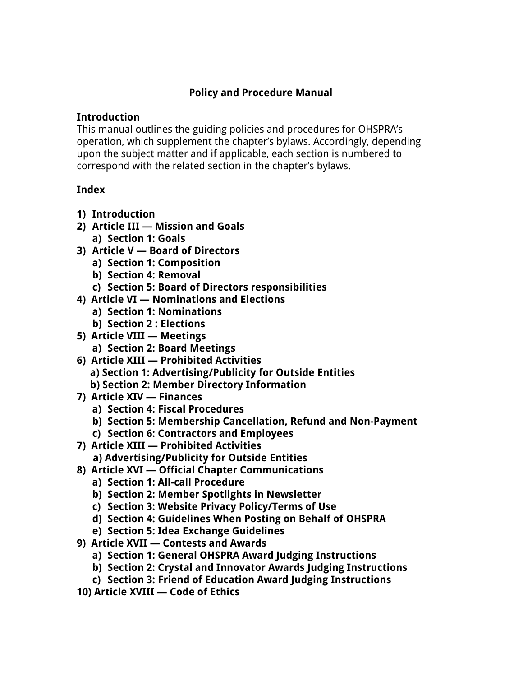#### **Policy and Procedure Manual**

#### **Introduction**

This manual outlines the guiding policies and procedures for OHSPRA's operation, which supplement the chapter's bylaws. Accordingly, depending upon the subject matter and if applicable, each section is numbered to correspond with the related section in the chapter's bylaws.

#### **Index**

- **1) Introduction**
- **2) Article III — Mission and Goals a) Section 1: Goals**
- **3) Article V — Board of Directors**
	- **a) Section 1: Composition**
		- **b) Section 4: Removal**
		- **c) Section 5: Board of Directors responsibilities**
- **4) Article VI — Nominations and Elections**
	- **a) Section 1: Nominations**
	- **b) Section 2 : Elections**
- **5) Article VIII — Meetings**
	- **a) Section 2: Board Meetings**
- **6) Article XIII — Prohibited Activities a) Section 1: Advertising/Publicity for Outside Entities**
	- **b) Section 2: Member Directory Information**
- **7) Article XIV — Finances**
	- **a) Section 4: Fiscal Procedures**
	- **b) Section 5: Membership Cancellation, Refund and Non-Payment**
	- **c) Section 6: Contractors and Employees**
- **7) Article XIII — Prohibited Activities**
	- **a) Advertising/Publicity for Outside Entities**
- **8) Article XVI — Official Chapter Communications**
	- **a) Section 1: All-call Procedure**
	- **b) Section 2: Member Spotlights in Newsletter**
	- **c) Section 3: Website Privacy Policy/Terms of Use**
	- **d) Section 4: Guidelines When Posting on Behalf of OHSPRA**
	- **e) Section 5: Idea Exchange Guidelines**
- **9) Article XVII — Contests and Awards**
	- **a) Section 1: General OHSPRA Award Judging Instructions**
	- **b) Section 2: Crystal and Innovator Awards Judging Instructions**
	- **c) Section 3: Friend of Education Award Judging Instructions**
- **10) Article XVIII — Code of Ethics**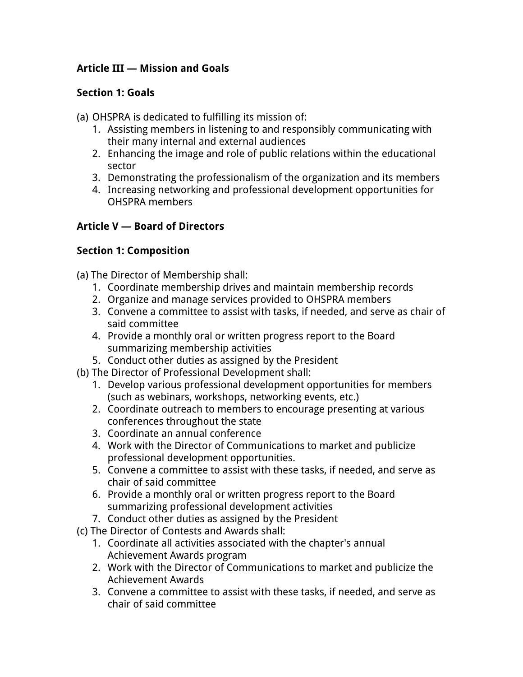## **Article III — Mission and Goals**

### **Section 1: Goals**

- (a) OHSPRA is dedicated to fulfilling its mission of:
	- 1. Assisting members in listening to and responsibly communicating with their many internal and external audiences
	- 2. Enhancing the image and role of public relations within the educational sector
	- 3. Demonstrating the professionalism of the organization and its members
	- 4. Increasing networking and professional development opportunities for OHSPRA members

## **Article V — Board of Directors**

### **Section 1: Composition**

(a) The Director of Membership shall:

- 1. Coordinate membership drives and maintain membership records
- 2. Organize and manage services provided to OHSPRA members
- 3. Convene a committee to assist with tasks, if needed, and serve as chair of said committee
- 4. Provide a monthly oral or written progress report to the Board summarizing membership activities
- 5. Conduct other duties as assigned by the President
- (b) The Director of Professional Development shall:
	- 1. Develop various professional development opportunities for members (such as webinars, workshops, networking events, etc.)
	- 2. Coordinate outreach to members to encourage presenting at various conferences throughout the state
	- 3. Coordinate an annual conference
	- 4. Work with the Director of Communications to market and publicize professional development opportunities.
	- 5. Convene a committee to assist with these tasks, if needed, and serve as chair of said committee
	- 6. Provide a monthly oral or written progress report to the Board summarizing professional development activities
	- 7. Conduct other duties as assigned by the President
- (c) The Director of Contests and Awards shall:
	- 1. Coordinate all activities associated with the chapter's annual Achievement Awards program
	- 2. Work with the Director of Communications to market and publicize the Achievement Awards
	- 3. Convene a committee to assist with these tasks, if needed, and serve as chair of said committee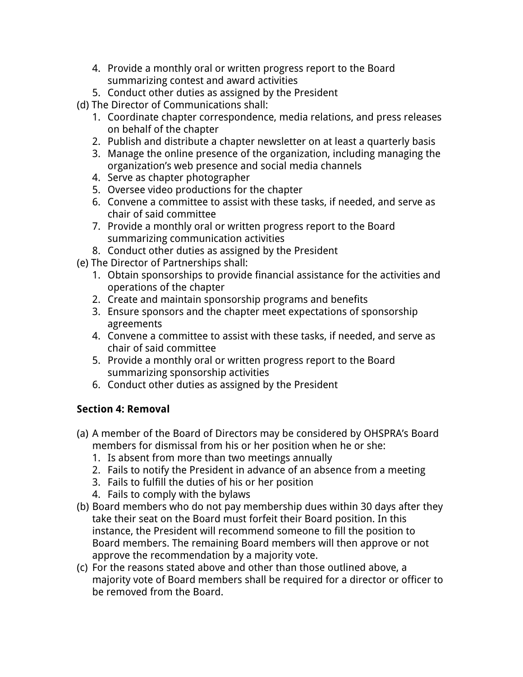- 4. Provide a monthly oral or written progress report to the Board summarizing contest and award activities
- 5. Conduct other duties as assigned by the President
- (d) The Director of Communications shall:
	- 1. Coordinate chapter correspondence, media relations, and press releases on behalf of the chapter
	- 2. Publish and distribute a chapter newsletter on at least a quarterly basis
	- 3. Manage the online presence of the organization, including managing the organization's web presence and social media channels
	- 4. Serve as chapter photographer
	- 5. Oversee video productions for the chapter
	- 6. Convene a committee to assist with these tasks, if needed, and serve as chair of said committee
	- 7. Provide a monthly oral or written progress report to the Board summarizing communication activities
	- 8. Conduct other duties as assigned by the President
- (e) The Director of Partnerships shall:
	- 1. Obtain sponsorships to provide financial assistance for the activities and operations of the chapter
	- 2. Create and maintain sponsorship programs and benefits
	- 3. Ensure sponsors and the chapter meet expectations of sponsorship agreements
	- 4. Convene a committee to assist with these tasks, if needed, and serve as chair of said committee
	- 5. Provide a monthly oral or written progress report to the Board summarizing sponsorship activities
	- 6. Conduct other duties as assigned by the President

# **Section 4: Removal**

- (a) A member of the Board of Directors may be considered by OHSPRA's Board members for dismissal from his or her position when he or she:
	- 1. Is absent from more than two meetings annually
	- 2. Fails to notify the President in advance of an absence from a meeting
	- 3. Fails to fulfill the duties of his or her position
	- 4. Fails to comply with the bylaws
- (b) Board members who do not pay membership dues within 30 days after they take their seat on the Board must forfeit their Board position. In this instance, the President will recommend someone to fill the position to Board members. The remaining Board members will then approve or not approve the recommendation by a majority vote.
- (c) For the reasons stated above and other than those outlined above, a majority vote of Board members shall be required for a director or officer to be removed from the Board.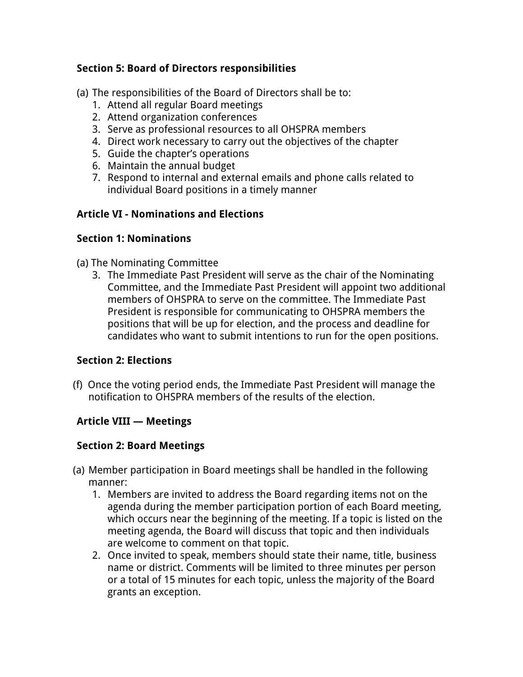### **Section 5: Board of Directors responsibilities**

(a) The responsibilities of the Board of Directors shall be to:

- 1. Attend all regular Board meetings
- 2. Attend organization conferences
- 3. Serve as professional resources to all OHSPRA members
- 4. Direct work necessary to carry out the objectives of the chapter
- 5. Guide the chapter's operations
- 6. Maintain the annual budget
- 7. Respond to internal and external emails and phone calls related to individual Board positions in a timely manner

#### **Article VI - Nominations and Elections**

#### **Section 1: Nominations**

#### (a) The Nominating Committee

3. The Immediate Past President will serve as the chair of the Nominating Committee, and the Immediate Past President will appoint two additional members of OHSPRA to serve on the committee. The Immediate Past President is responsible for communicating to OHSPRA members the positions that will be up for election, and the process and deadline for candidates who want to submit intentions to run for the open positions.

#### **Section 2: Elections**

(f) Once the voting period ends, the Immediate Past President will manage the notification to OHSPRA members of the results of the election.

#### **Article VIII — Meetings**

#### **Section 2: Board Meetings**

- (a) Member participation in Board meetings shall be handled in the following manner:
	- 1. Members are invited to address the Board regarding items not on the agenda during the member participation portion of each Board meeting, which occurs near the beginning of the meeting. If a topic is listed on the meeting agenda, the Board will discuss that topic and then individuals are welcome to comment on that topic.
	- 2. Once invited to speak, members should state their name, title, business name or district. Comments will be limited to three minutes per person or a total of 15 minutes for each topic, unless the majority of the Board grants an exception.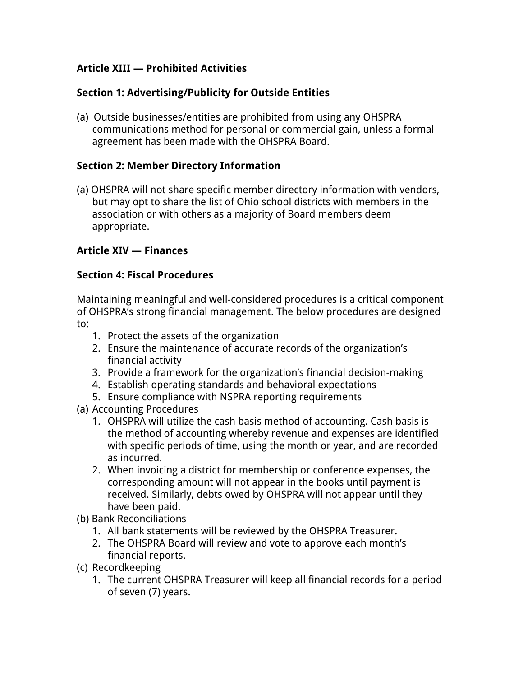### **Article XIII — Prohibited Activities**

### **Section 1: Advertising/Publicity for Outside Entities**

(a) Outside businesses/entities are prohibited from using any OHSPRA communications method for personal or commercial gain, unless a formal agreement has been made with the OHSPRA Board.

### **Section 2: Member Directory Information**

(a) OHSPRA will not share specific member directory information with vendors, but may opt to share the list of Ohio school districts with members in the association or with others as a majority of Board members deem appropriate.

### **Article XIV — Finances**

#### **Section 4: Fiscal Procedures**

Maintaining meaningful and well-considered procedures is a critical component of OHSPRA's strong financial management. The below procedures are designed to:

- 1. Protect the assets of the organization
- 2. Ensure the maintenance of accurate records of the organization's financial activity
- 3. Provide a framework for the organization's financial decision-making
- 4. Establish operating standards and behavioral expectations
- 5. Ensure compliance with NSPRA reporting requirements
- (a) Accounting Procedures
	- 1. OHSPRA will utilize the cash basis method of accounting. Cash basis is the method of accounting whereby revenue and expenses are identified with specific periods of time, using the month or year, and are recorded as incurred.
	- 2. When invoicing a district for membership or conference expenses, the corresponding amount will not appear in the books until payment is received. Similarly, debts owed by OHSPRA will not appear until they have been paid.
- (b) Bank Reconciliations
	- 1. All bank statements will be reviewed by the OHSPRA Treasurer.
	- 2. The OHSPRA Board will review and vote to approve each month's financial reports.
- (c) Recordkeeping
	- 1. The current OHSPRA Treasurer will keep all financial records for a period of seven (7) years.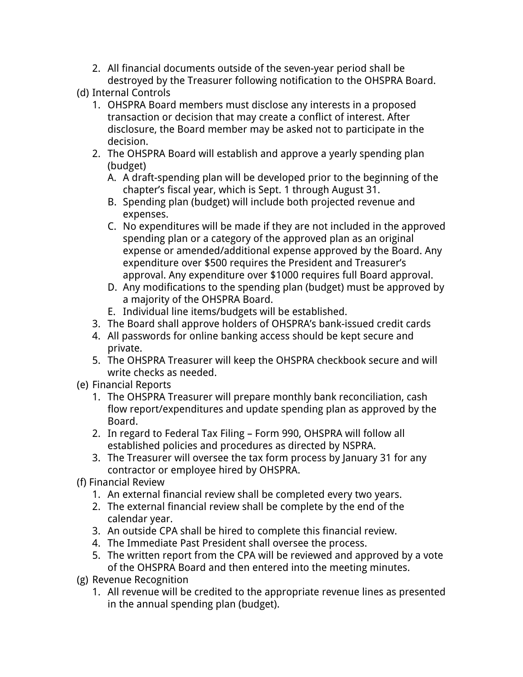2. All financial documents outside of the seven-year period shall be destroyed by the Treasurer following notification to the OHSPRA Board.

(d) Internal Controls

- 1. OHSPRA Board members must disclose any interests in a proposed transaction or decision that may create a conflict of interest. After disclosure, the Board member may be asked not to participate in the decision.
- 2. The OHSPRA Board will establish and approve a yearly spending plan (budget)
	- A. A draft-spending plan will be developed prior to the beginning of the chapter's fiscal year, which is Sept. 1 through August 31.
	- B. Spending plan (budget) will include both projected revenue and expenses.
	- C. No expenditures will be made if they are not included in the approved spending plan or a category of the approved plan as an original expense or amended/additional expense approved by the Board. Any expenditure over \$500 requires the President and Treasurer's approval. Any expenditure over \$1000 requires full Board approval.
	- D. Any modifications to the spending plan (budget) must be approved by a majority of the OHSPRA Board.
	- E. Individual line items/budgets will be established.
- 3. The Board shall approve holders of OHSPRA's bank-issued credit cards
- 4. All passwords for online banking access should be kept secure and private.
- 5. The OHSPRA Treasurer will keep the OHSPRA checkbook secure and will write checks as needed.
- (e) Financial Reports
	- 1. The OHSPRA Treasurer will prepare monthly bank reconciliation, cash flow report/expenditures and update spending plan as approved by the Board.
	- 2. In regard to Federal Tax Filing Form 990, OHSPRA will follow all established policies and procedures as directed by NSPRA.
	- 3. The Treasurer will oversee the tax form process by January 31 for any contractor or employee hired by OHSPRA.
- (f) Financial Review
	- 1. An external financial review shall be completed every two years.
	- 2. The external financial review shall be complete by the end of the calendar year.
	- 3. An outside CPA shall be hired to complete this financial review.
	- 4. The Immediate Past President shall oversee the process.
	- 5. The written report from the CPA will be reviewed and approved by a vote of the OHSPRA Board and then entered into the meeting minutes.
- (g) Revenue Recognition
	- 1. All revenue will be credited to the appropriate revenue lines as presented in the annual spending plan (budget).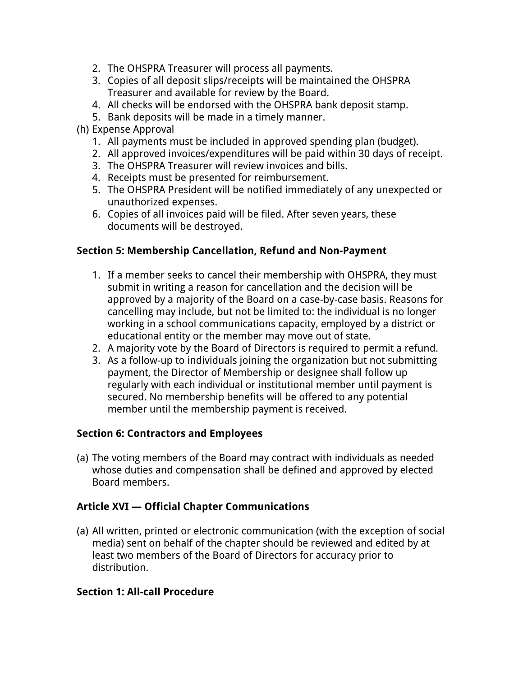- 2. The OHSPRA Treasurer will process all payments.
- 3. Copies of all deposit slips/receipts will be maintained the OHSPRA Treasurer and available for review by the Board.
- 4. All checks will be endorsed with the OHSPRA bank deposit stamp.
- 5. Bank deposits will be made in a timely manner.
- (h) Expense Approval
	- 1. All payments must be included in approved spending plan (budget).
	- 2. All approved invoices/expenditures will be paid within 30 days of receipt.
	- 3. The OHSPRA Treasurer will review invoices and bills.
	- 4. Receipts must be presented for reimbursement.
	- 5. The OHSPRA President will be notified immediately of any unexpected or unauthorized expenses.
	- 6. Copies of all invoices paid will be filed. After seven years, these documents will be destroyed.

#### **Section 5: Membership Cancellation, Refund and Non-Payment**

- 1. If a member seeks to cancel their membership with OHSPRA, they must submit in writing a reason for cancellation and the decision will be approved by a majority of the Board on a case-by-case basis. Reasons for cancelling may include, but not be limited to: the individual is no longer working in a school communications capacity, employed by a district or educational entity or the member may move out of state.
- 2. A majority vote by the Board of Directors is required to permit a refund.
- 3. As a follow-up to individuals joining the organization but not submitting payment, the Director of Membership or designee shall follow up regularly with each individual or institutional member until payment is secured. No membership benefits will be offered to any potential member until the membership payment is received.

#### **Section 6: Contractors and Employees**

(a) The voting members of the Board may contract with individuals as needed whose duties and compensation shall be defined and approved by elected Board members.

#### **Article XVI — Official Chapter Communications**

(a) All written, printed or electronic communication (with the exception of social media) sent on behalf of the chapter should be reviewed and edited by at least two members of the Board of Directors for accuracy prior to distribution.

#### **Section 1: All-call Procedure**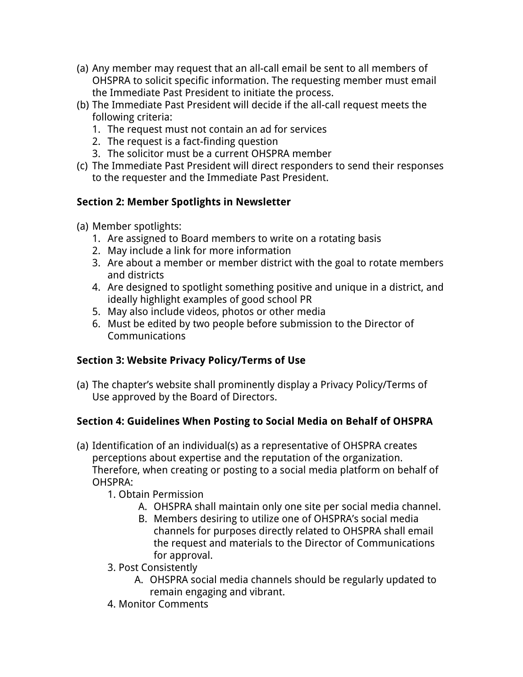- (a) Any member may request that an all-call email be sent to all members of OHSPRA to solicit specific information. The requesting member must email the Immediate Past President to initiate the process.
- (b) The Immediate Past President will decide if the all-call request meets the following criteria:
	- 1. The request must not contain an ad for services
	- 2. The request is a fact-finding question
	- 3. The solicitor must be a current OHSPRA member
- (c) The Immediate Past President will direct responders to send their responses to the requester and the Immediate Past President.

# **Section 2: Member Spotlights in Newsletter**

- (a) Member spotlights:
	- 1. Are assigned to Board members to write on a rotating basis
	- 2. May include a link for more information
	- 3. Are about a member or member district with the goal to rotate members and districts
	- 4. Are designed to spotlight something positive and unique in a district, and ideally highlight examples of good school PR
	- 5. May also include videos, photos or other media
	- 6. Must be edited by two people before submission to the Director of Communications

# **Section 3: Website Privacy Policy/Terms of Use**

(a) The chapter's website shall prominently display a Privacy Policy/Terms of Use approved by the Board of Directors.

# **Section 4: Guidelines When Posting to Social Media on Behalf of OHSPRA**

- (a) Identification of an individual(s) as a representative of OHSPRA creates perceptions about expertise and the reputation of the organization. Therefore, when creating or posting to a social media platform on behalf of OHSPRA:
	- 1. Obtain Permission
		- A. OHSPRA shall maintain only one site per social media channel.
		- B. Members desiring to utilize one of OHSPRA's social media channels for purposes directly related to OHSPRA shall email the request and materials to the Director of Communications for approval.
	- 3. Post Consistently
		- A. OHSPRA social media channels should be regularly updated to remain engaging and vibrant.
	- 4. Monitor Comments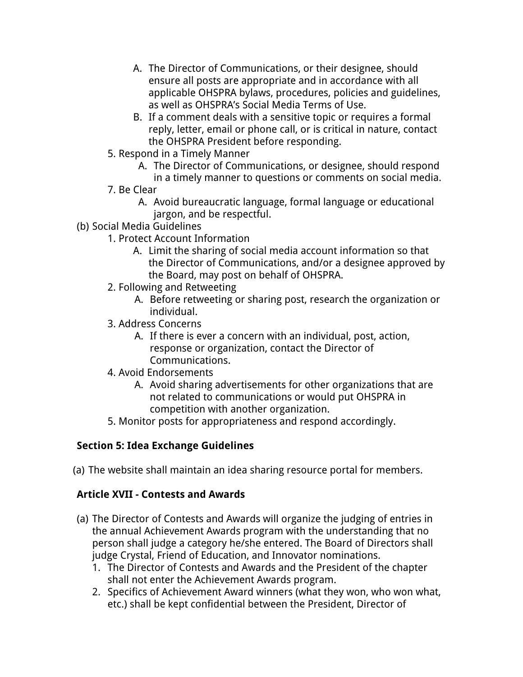- A. The Director of Communications, or their designee, should ensure all posts are appropriate and in accordance with all applicable OHSPRA bylaws, procedures, policies and guidelines, as well as OHSPRA's Social Media Terms of Use.
- B. If a comment deals with a sensitive topic or requires a formal reply, letter, email or phone call, or is critical in nature, contact the OHSPRA President before responding.
- 5. Respond in a Timely Manner
	- A. The Director of Communications, or designee, should respond in a timely manner to questions or comments on social media.
- 7. Be Clear
	- A. Avoid bureaucratic language, formal language or educational jargon, and be respectful.
- (b) Social Media Guidelines
	- 1. Protect Account Information
		- A. Limit the sharing of social media account information so that the Director of Communications, and/or a designee approved by the Board, may post on behalf of OHSPRA.
	- 2. Following and Retweeting
		- A. Before retweeting or sharing post, research the organization or individual.
	- 3. Address Concerns
		- A. If there is ever a concern with an individual, post, action, response or organization, contact the Director of Communications.
	- 4. Avoid Endorsements
		- A. Avoid sharing advertisements for other organizations that are not related to communications or would put OHSPRA in competition with another organization.
	- 5. Monitor posts for appropriateness and respond accordingly.

# **Section 5: Idea Exchange Guidelines**

(a) The website shall maintain an idea sharing resource portal for members.

### **Article XVII - Contests and Awards**

- (a) The Director of Contests and Awards will organize the judging of entries in the annual Achievement Awards program with the understanding that no person shall judge a category he/she entered. The Board of Directors shall judge Crystal, Friend of Education, and Innovator nominations.
	- 1. The Director of Contests and Awards and the President of the chapter shall not enter the Achievement Awards program.
	- 2. Specifics of Achievement Award winners (what they won, who won what, etc.) shall be kept confidential between the President, Director of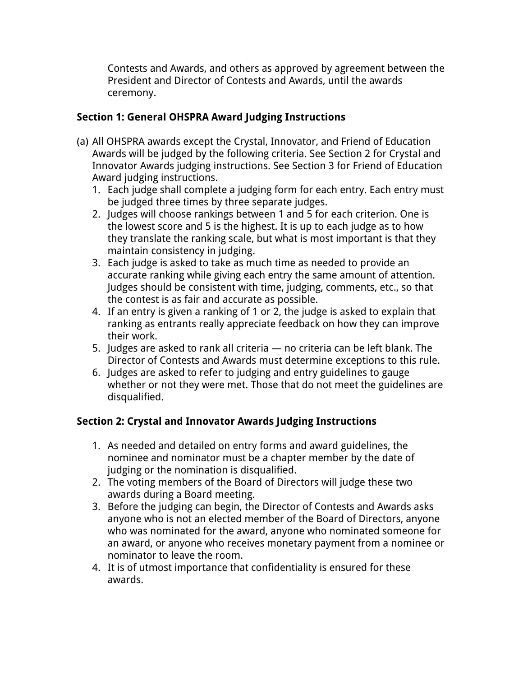Contests and Awards, and others as approved by agreement between the President and Director of Contests and Awards, until the awards ceremony.

## **Section 1: General OHSPRA Award Judging Instructions**

- (a) All OHSPRA awards except the Crystal, Innovator, and Friend of Education Awards will be judged by the following criteria. See Section 2 for Crystal and Innovator Awards judging instructions. See Section 3 for Friend of Education Award judging instructions.
	- 1. Each judge shall complete a judging form for each entry. Each entry must be judged three times by three separate judges.
	- 2. Judges will choose rankings between 1 and 5 for each criterion. One is the lowest score and 5 is the highest. It is up to each judge as to how they translate the ranking scale, but what is most important is that they maintain consistency in judging.
	- 3. Each judge is asked to take as much time as needed to provide an accurate ranking while giving each entry the same amount of attention. Judges should be consistent with time, judging, comments, etc., so that the contest is as fair and accurate as possible.
	- 4. If an entry is given a ranking of 1 or 2, the judge is asked to explain that ranking as entrants really appreciate feedback on how they can improve their work.
	- 5. Judges are asked to rank all criteria no criteria can be left blank. The Director of Contests and Awards must determine exceptions to this rule.
	- 6. Judges are asked to refer to judging and entry guidelines to gauge whether or not they were met. Those that do not meet the guidelines are disqualified.

### **Section 2: Crystal and Innovator Awards Judging Instructions**

- 1. As needed and detailed on entry forms and award guidelines, the nominee and nominator must be a chapter member by the date of judging or the nomination is disqualified.
- 2. The voting members of the Board of Directors will judge these two awards during a Board meeting.
- 3. Before the judging can begin, the Director of Contests and Awards asks anyone who is not an elected member of the Board of Directors, anyone who was nominated for the award, anyone who nominated someone for an award, or anyone who receives monetary payment from a nominee or nominator to leave the room.
- 4. It is of utmost importance that confidentiality is ensured for these awards.